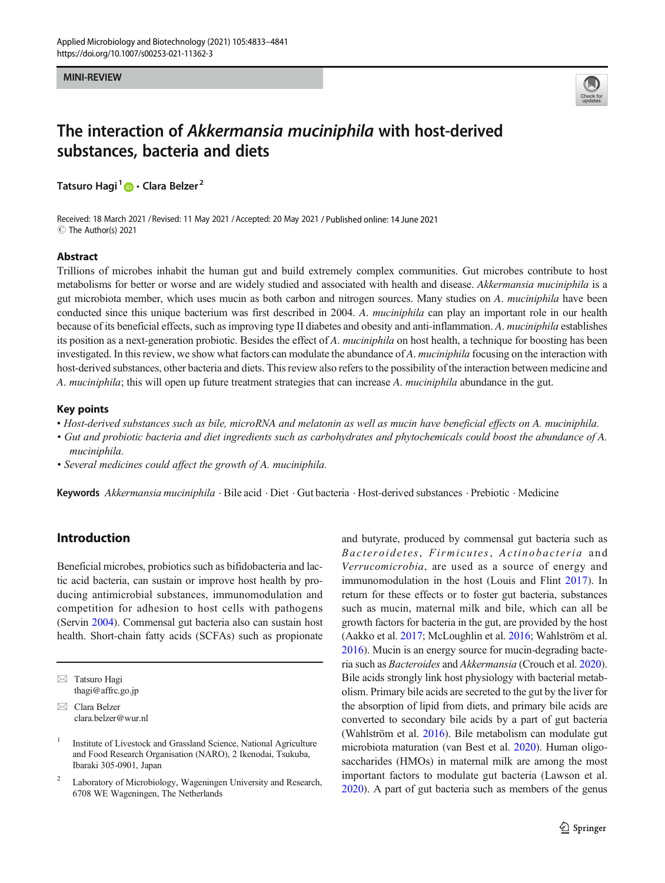#### **MINI-REVIEW** MINI-REVIEW



# The interaction of Akkermansia muciniphila with host-derived substances, bacteria and diets

Tatsuro Hagi<sup>1</sup> • Clara Belzer<sup>2</sup>

Received: 18 March 2021 / Revised: 11 May 2021 /Accepted: 20 May 2021 / Published online: 14 June 2021 C The Author(s) 2021

#### Abstract

Trillions of microbes inhabit the human gut and build extremely complex communities. Gut microbes contribute to host metabolisms for better or worse and are widely studied and associated with health and disease. Akkermansia muciniphila is a gut microbiota member, which uses mucin as both carbon and nitrogen sources. Many studies on A. muciniphila have been conducted since this unique bacterium was first described in 2004. A. muciniphila can play an important role in our health because of its beneficial effects, such as improving type II diabetes and obesity and anti-inflammation. A. *muciniphila* establishes its position as a next-generation probiotic. Besides the effect of A. muciniphila on host health, a technique for boosting has been investigated. In this review, we show what factors can modulate the abundance of A. *muciniphila* focusing on the interaction with host-derived substances, other bacteria and diets. This review also refers to the possibility of the interaction between medicine and A. muciniphila; this will open up future treatment strategies that can increase A. muciniphila abundance in the gut.

#### Key points

- Host-derived substances such as bile, microRNA and melatonin as well as mucin have beneficial effects on A. muciniphila.
- Gut and probiotic bacteria and diet ingredients such as carbohydrates and phytochemicals could boost the abundance of A. muciniphila.
- Several medicines could affect the growth of A. muciniphila.

Keywords Akkermansia muciniphila · Bile acid · Diet · Gut bacteria · Host-derived substances · Prebiotic · Medicine

# Introduction

Beneficial microbes, probiotics such as bifidobacteria and lactic acid bacteria, can sustain or improve host health by producing antimicrobial substances, immunomodulation and competition for adhesion to host cells with pathogens (Servin [2004\)](#page-8-0). Commensal gut bacteria also can sustain host health. Short-chain fatty acids (SCFAs) such as propionate and butyrate, produced by commensal gut bacteria such as Bacteroidetes, Firmicutes, Actinobacteria and Verrucomicrobia, are used as a source of energy and immunomodulation in the host (Louis and Flint [2017](#page-7-0)). In return for these effects or to foster gut bacteria, substances such as mucin, maternal milk and bile, which can all be growth factors for bacteria in the gut, are provided by the host (Aakko et al. [2017](#page-5-0); McLoughlin et al. [2016](#page-7-0); Wahlström et al. [2016\)](#page-8-0). Mucin is an energy source for mucin-degrading bacteria such as Bacteroides and Akkermansia (Crouch et al. [2020\)](#page-5-0). Bile acids strongly link host physiology with bacterial metabolism. Primary bile acids are secreted to the gut by the liver for the absorption of lipid from diets, and primary bile acids are converted to secondary bile acids by a part of gut bacteria (Wahlström et al. [2016](#page-8-0)). Bile metabolism can modulate gut microbiota maturation (van Best et al. [2020](#page-8-0)). Human oligosaccharides (HMOs) in maternal milk are among the most important factors to modulate gut bacteria (Lawson et al. [2020\)](#page-6-0). A part of gut bacteria such as members of the genus

 $\boxtimes$  Tatsuro Hagi [thagi@affrc.go.jp](mailto:thagi@affrc.go.jp)

 $\boxtimes$  Clara Belzer [clara.belzer@wur.nl](mailto:clara.belzer@wur.nl)

<sup>1</sup> Institute of Livestock and Grassland Science, National Agriculture and Food Research Organisation (NARO), 2 Ikenodai, Tsukuba, Ibaraki 305-0901, Japan

<sup>&</sup>lt;sup>2</sup> Laboratory of Microbiology, Wageningen University and Research, 6708 WE Wageningen, The Netherlands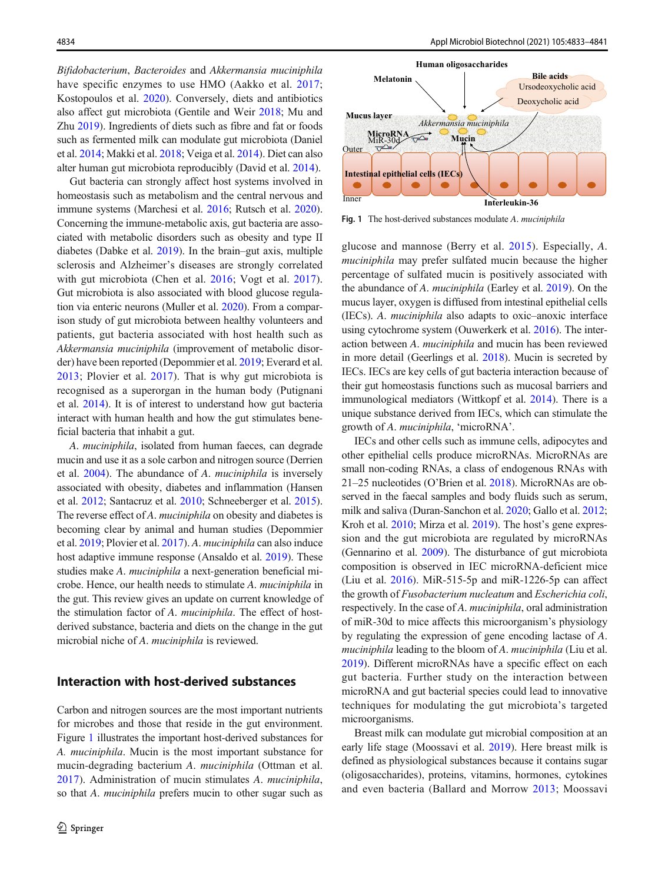Bifidobacterium, Bacteroides and Akkermansia muciniphila have specific enzymes to use HMO (Aakko et al. [2017](#page-5-0); Kostopoulos et al. [2020](#page-6-0)). Conversely, diets and antibiotics also affect gut microbiota (Gentile and Weir [2018;](#page-6-0) Mu and Zhu [2019](#page-7-0)). Ingredients of diets such as fibre and fat or foods such as fermented milk can modulate gut microbiota (Daniel et al. [2014;](#page-5-0) Makki et al. [2018;](#page-7-0) Veiga et al. [2014\)](#page-8-0). Diet can also alter human gut microbiota reproducibly (David et al. [2014\)](#page-5-0).

Gut bacteria can strongly affect host systems involved in homeostasis such as metabolism and the central nervous and immune systems (Marchesi et al. [2016;](#page-7-0) Rutsch et al. [2020\)](#page-7-0). Concerning the immune-metabolic axis, gut bacteria are associated with metabolic disorders such as obesity and type II diabetes (Dabke et al. [2019](#page-5-0)). In the brain–gut axis, multiple sclerosis and Alzheimer's diseases are strongly correlated with gut microbiota (Chen et al. [2016;](#page-5-0) Vogt et al. [2017](#page-8-0)). Gut microbiota is also associated with blood glucose regulation via enteric neurons (Muller et al. [2020](#page-7-0)). From a comparison study of gut microbiota between healthy volunteers and patients, gut bacteria associated with host health such as Akkermansia muciniphila (improvement of metabolic disorder) have been reported (Depommier et al. [2019;](#page-6-0) Everard et al. [2013](#page-6-0); Plovier et al. [2017](#page-7-0)). That is why gut microbiota is recognised as a superorgan in the human body (Putignani et al. [2014\)](#page-7-0). It is of interest to understand how gut bacteria interact with human health and how the gut stimulates beneficial bacteria that inhabit a gut.

A. muciniphila, isolated from human faeces, can degrade mucin and use it as a sole carbon and nitrogen source (Derrien et al. [2004\)](#page-6-0). The abundance of A. muciniphila is inversely associated with obesity, diabetes and inflammation (Hansen et al. [2012;](#page-6-0) Santacruz et al. [2010;](#page-7-0) Schneeberger et al. [2015\)](#page-7-0). The reverse effect of A. muciniphila on obesity and diabetes is becoming clear by animal and human studies (Depommier et al. [2019;](#page-6-0) Plovier et al. [2017\)](#page-7-0). A. muciniphila can also induce host adaptive immune response (Ansaldo et al. [2019](#page-5-0)). These studies make A. muciniphila a next-generation beneficial microbe. Hence, our health needs to stimulate A. muciniphila in the gut. This review gives an update on current knowledge of the stimulation factor of A. muciniphila. The effect of hostderived substance, bacteria and diets on the change in the gut microbial niche of A. muciniphila is reviewed.

#### Interaction with host-derived substances

Carbon and nitrogen sources are the most important nutrients for microbes and those that reside in the gut environment. Figure 1 illustrates the important host-derived substances for A. muciniphila. Mucin is the most important substance for mucin-degrading bacterium A. muciniphila (Ottman et al. [2017\)](#page-7-0). Administration of mucin stimulates A. muciniphila, so that A. *muciniphila* prefers mucin to other sugar such as



Fig. 1 The host-derived substances modulate A. muciniphila

glucose and mannose (Berry et al. [2015\)](#page-5-0). Especially, A. muciniphila may prefer sulfated mucin because the higher percentage of sulfated mucin is positively associated with the abundance of A. muciniphila (Earley et al. [2019](#page-6-0)). On the mucus layer, oxygen is diffused from intestinal epithelial cells (IECs). A. muciniphila also adapts to oxic–anoxic interface using cytochrome system (Ouwerkerk et al. [2016\)](#page-7-0). The interaction between A. muciniphila and mucin has been reviewed in more detail (Geerlings et al. [2018\)](#page-6-0). Mucin is secreted by IECs. IECs are key cells of gut bacteria interaction because of their gut homeostasis functions such as mucosal barriers and immunological mediators (Wittkopf et al. [2014\)](#page-8-0). There is a unique substance derived from IECs, which can stimulate the growth of A. muciniphila, 'microRNA'.

IECs and other cells such as immune cells, adipocytes and other epithelial cells produce microRNAs. MicroRNAs are small non-coding RNAs, a class of endogenous RNAs with 21–25 nucleotides (O'Brien et al. [2018](#page-7-0)). MicroRNAs are observed in the faecal samples and body fluids such as serum, milk and saliva (Duran-Sanchon et al. [2020;](#page-6-0) Gallo et al. [2012;](#page-6-0) Kroh et al. [2010](#page-6-0); Mirza et al. [2019\)](#page-7-0). The host's gene expression and the gut microbiota are regulated by microRNAs (Gennarino et al. [2009\)](#page-6-0). The disturbance of gut microbiota composition is observed in IEC microRNA-deficient mice (Liu et al. [2016\)](#page-6-0). MiR-515-5p and miR-1226-5p can affect the growth of Fusobacterium nucleatum and Escherichia coli, respectively. In the case of A. muciniphila, oral administration of miR-30d to mice affects this microorganism's physiology by regulating the expression of gene encoding lactase of A. muciniphila leading to the bloom of A. muciniphila (Liu et al. [2019\)](#page-7-0). Different microRNAs have a specific effect on each gut bacteria. Further study on the interaction between microRNA and gut bacterial species could lead to innovative techniques for modulating the gut microbiota's targeted microorganisms.

Breast milk can modulate gut microbial composition at an early life stage (Moossavi et al. [2019\)](#page-7-0). Here breast milk is defined as physiological substances because it contains sugar (oligosaccharides), proteins, vitamins, hormones, cytokines and even bacteria (Ballard and Morrow [2013;](#page-5-0) Moossavi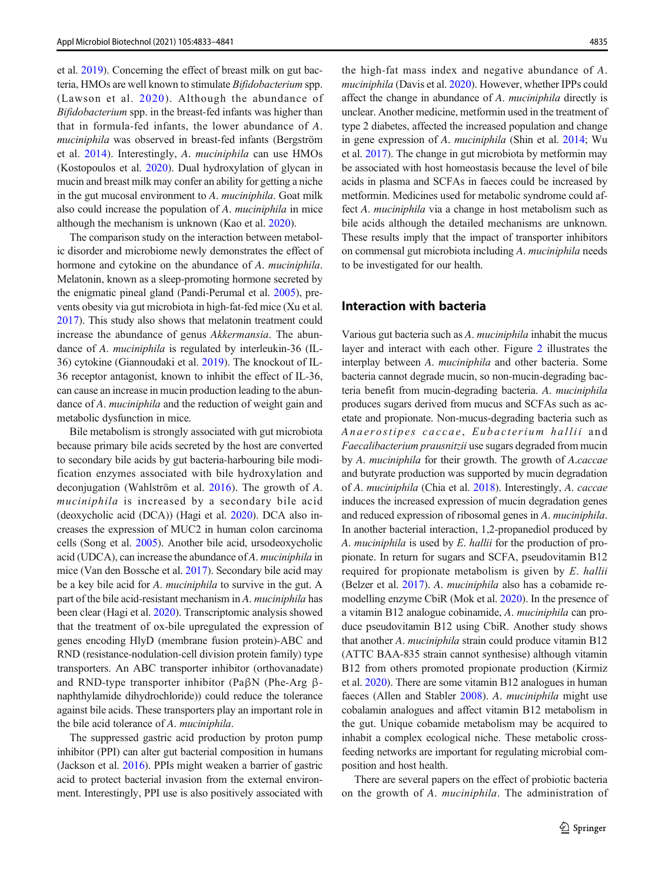et al. [2019](#page-7-0)). Concerning the effect of breast milk on gut bacteria, HMOs are well known to stimulate Bifidobacterium spp. (Lawson et al. [2020\)](#page-6-0). Although the abundance of Bifidobacterium spp. in the breast-fed infants was higher than that in formula-fed infants, the lower abundance of A. muciniphila was observed in breast-fed infants (Bergström et al. [2014\)](#page-5-0). Interestingly, A. muciniphila can use HMOs (Kostopoulos et al. [2020](#page-6-0)). Dual hydroxylation of glycan in mucin and breast milk may confer an ability for getting a niche in the gut mucosal environment to A. muciniphila. Goat milk also could increase the population of A. muciniphila in mice although the mechanism is unknown (Kao et al. [2020](#page-6-0)).

The comparison study on the interaction between metabolic disorder and microbiome newly demonstrates the effect of hormone and cytokine on the abundance of A. *muciniphila*. Melatonin, known as a sleep-promoting hormone secreted by the enigmatic pineal gland (Pandi-Perumal et al. [2005\)](#page-7-0), prevents obesity via gut microbiota in high-fat-fed mice (Xu et al. [2017\)](#page-8-0). This study also shows that melatonin treatment could increase the abundance of genus Akkermansia. The abundance of A. muciniphila is regulated by interleukin-36 (IL-36) cytokine (Giannoudaki et al. [2019\)](#page-6-0). The knockout of IL-36 receptor antagonist, known to inhibit the effect of IL-36, can cause an increase in mucin production leading to the abundance of A. *muciniphila* and the reduction of weight gain and metabolic dysfunction in mice.

Bile metabolism is strongly associated with gut microbiota because primary bile acids secreted by the host are converted to secondary bile acids by gut bacteria-harbouring bile modification enzymes associated with bile hydroxylation and deconjugation (Wahlström et al. [2016](#page-8-0)). The growth of A. muciniphila is increased by a secondary bile acid (deoxycholic acid (DCA)) (Hagi et al. [2020](#page-6-0)). DCA also increases the expression of MUC2 in human colon carcinoma cells (Song et al. [2005](#page-8-0)). Another bile acid, ursodeoxycholic acid (UDCA), can increase the abundance of A. muciniphila in mice (Van den Bossche et al. [2017\)](#page-8-0). Secondary bile acid may be a key bile acid for A. *muciniphila* to survive in the gut. A part of the bile acid-resistant mechanism in A. muciniphila has been clear (Hagi et al. [2020](#page-6-0)). Transcriptomic analysis showed that the treatment of ox-bile upregulated the expression of genes encoding HlyD (membrane fusion protein)-ABC and RND (resistance-nodulation-cell division protein family) type transporters. An ABC transporter inhibitor (orthovanadate) and RND-type transporter inhibitor (PaβN (Phe-Arg βnaphthylamide dihydrochloride)) could reduce the tolerance against bile acids. These transporters play an important role in the bile acid tolerance of A. muciniphila.

The suppressed gastric acid production by proton pump inhibitor (PPI) can alter gut bacterial composition in humans (Jackson et al. [2016](#page-6-0)). PPIs might weaken a barrier of gastric acid to protect bacterial invasion from the external environment. Interestingly, PPI use is also positively associated with

the high-fat mass index and negative abundance of A. muciniphila (Davis et al. [2020](#page-6-0)). However, whether IPPs could affect the change in abundance of A. muciniphila directly is unclear. Another medicine, metformin used in the treatment of type 2 diabetes, affected the increased population and change in gene expression of A. muciniphila (Shin et al. [2014;](#page-8-0) Wu et al. [2017\)](#page-8-0). The change in gut microbiota by metformin may be associated with host homeostasis because the level of bile acids in plasma and SCFAs in faeces could be increased by metformin. Medicines used for metabolic syndrome could affect A. muciniphila via a change in host metabolism such as bile acids although the detailed mechanisms are unknown. These results imply that the impact of transporter inhibitors on commensal gut microbiota including A. muciniphila needs to be investigated for our health.

## Interaction with bacteria

Various gut bacteria such as A. muciniphila inhabit the mucus layer and interact with each other. Figure [2](#page-3-0) illustrates the interplay between A. muciniphila and other bacteria. Some bacteria cannot degrade mucin, so non-mucin-degrading bacteria benefit from mucin-degrading bacteria. A. muciniphila produces sugars derived from mucus and SCFAs such as acetate and propionate. Non-mucus-degrading bacteria such as Anaerostipes caccae, Eubacterium hallii and Faecalibacterium prausnitzii use sugars degraded from mucin by A. muciniphila for their growth. The growth of A.caccae and butyrate production was supported by mucin degradation of A. muciniphila (Chia et al. [2018\)](#page-5-0). Interestingly, A. caccae induces the increased expression of mucin degradation genes and reduced expression of ribosomal genes in A. muciniphila. In another bacterial interaction, 1,2-propanediol produced by A. muciniphila is used by E. hallii for the production of propionate. In return for sugars and SCFA, pseudovitamin B12 required for propionate metabolism is given by E. hallii (Belzer et al. [2017\)](#page-5-0). A. muciniphila also has a cobamide remodelling enzyme CbiR (Mok et al. [2020\)](#page-7-0). In the presence of a vitamin B12 analogue cobinamide, A. muciniphila can produce pseudovitamin B12 using CbiR. Another study shows that another A. muciniphila strain could produce vitamin B12 (ATTC BAA-835 strain cannot synthesise) although vitamin B12 from others promoted propionate production (Kirmiz et al. [2020\)](#page-6-0). There are some vitamin B12 analogues in human faeces (Allen and Stabler [2008](#page-5-0)). A. muciniphila might use cobalamin analogues and affect vitamin B12 metabolism in the gut. Unique cobamide metabolism may be acquired to inhabit a complex ecological niche. These metabolic crossfeeding networks are important for regulating microbial composition and host health.

There are several papers on the effect of probiotic bacteria on the growth of A. muciniphila. The administration of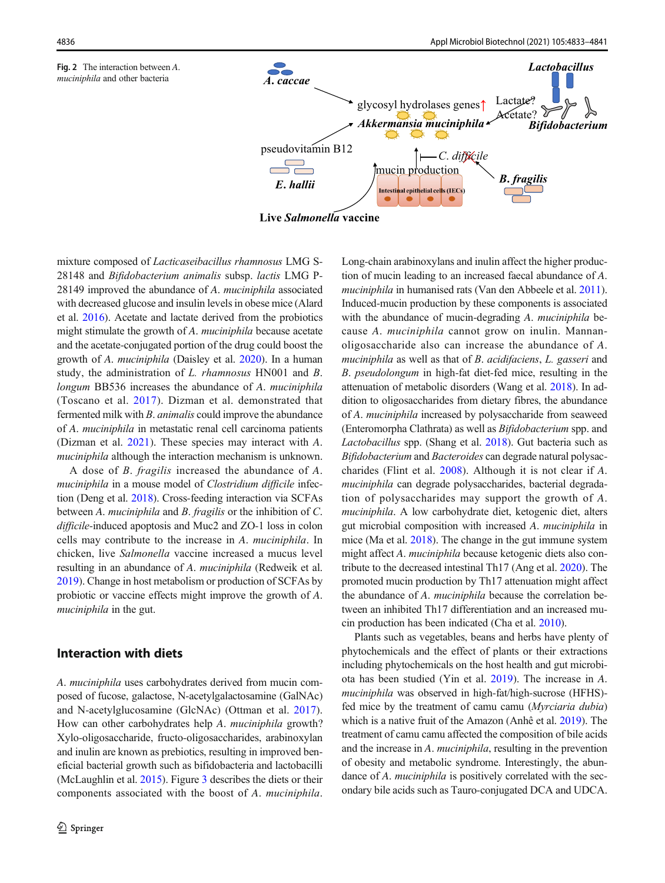<span id="page-3-0"></span>



mixture composed of Lacticaseibacillus rhamnosus LMG S-28148 and Bifidobacterium animalis subsp. lactis LMG P-28149 improved the abundance of A. muciniphila associated with decreased glucose and insulin levels in obese mice (Alard et al. [2016\)](#page-5-0). Acetate and lactate derived from the probiotics might stimulate the growth of A. *muciniphila* because acetate and the acetate-conjugated portion of the drug could boost the growth of A. muciniphila (Daisley et al. [2020](#page-5-0)). In a human study, the administration of L. rhamnosus HN001 and B. longum BB536 increases the abundance of A. muciniphila (Toscano et al. [2017\)](#page-8-0). Dizman et al. demonstrated that fermented milk with B. animalis could improve the abundance of A. muciniphila in metastatic renal cell carcinoma patients (Dizman et al. [2021](#page-6-0)). These species may interact with A. muciniphila although the interaction mechanism is unknown.

A dose of B. fragilis increased the abundance of A. muciniphila in a mouse model of *Clostridium difficile* infection (Deng et al. [2018](#page-6-0)). Cross-feeding interaction via SCFAs between A. muciniphila and B. fragilis or the inhibition of C. difficile-induced apoptosis and Muc2 and ZO-1 loss in colon cells may contribute to the increase in A. muciniphila. In chicken, live Salmonella vaccine increased a mucus level resulting in an abundance of A. muciniphila (Redweik et al. [2019\)](#page-7-0). Change in host metabolism or production of SCFAs by probiotic or vaccine effects might improve the growth of A. muciniphila in the gut.

# Interaction with diets

A. muciniphila uses carbohydrates derived from mucin composed of fucose, galactose, N-acetylgalactosamine (GalNAc) and N-acetylglucosamine (GlcNAc) (Ottman et al. [2017](#page-7-0)). How can other carbohydrates help A. muciniphila growth? Xylo-oligosaccharide, fructo-oligosaccharides, arabinoxylan and inulin are known as prebiotics, resulting in improved beneficial bacterial growth such as bifidobacteria and lactobacilli (McLaughlin et al. [2015](#page-7-0)). Figure [3](#page-4-0) describes the diets or their components associated with the boost of A. muciniphila.

Long-chain arabinoxylans and inulin affect the higher production of mucin leading to an increased faecal abundance of A. muciniphila in humanised rats (Van den Abbeele et al. [2011\)](#page-8-0). Induced-mucin production by these components is associated with the abundance of mucin-degrading A. *muciniphila* because A. muciniphila cannot grow on inulin. Mannanoligosaccharide also can increase the abundance of A. muciniphila as well as that of B. acidifaciens, L. gasseri and B. pseudolongum in high-fat diet-fed mice, resulting in the attenuation of metabolic disorders (Wang et al. [2018\)](#page-8-0). In addition to oligosaccharides from dietary fibres, the abundance of A. muciniphila increased by polysaccharide from seaweed (Enteromorpha Clathrata) as well as Bifidobacterium spp. and Lactobacillus spp. (Shang et al. [2018\)](#page-8-0). Gut bacteria such as Bifidobacterium and Bacteroides can degrade natural polysaccharides (Flint et al. [2008](#page-6-0)). Although it is not clear if A. muciniphila can degrade polysaccharides, bacterial degradation of polysaccharides may support the growth of A. muciniphila. A low carbohydrate diet, ketogenic diet, alters gut microbial composition with increased A. muciniphila in mice (Ma et al. [2018](#page-7-0)). The change in the gut immune system might affect A. muciniphila because ketogenic diets also contribute to the decreased intestinal Th17 (Ang et al. [2020](#page-5-0)). The promoted mucin production by Th17 attenuation might affect the abundance of A. muciniphila because the correlation between an inhibited Th17 differentiation and an increased mucin production has been indicated (Cha et al. [2010](#page-5-0)).

Plants such as vegetables, beans and herbs have plenty of phytochemicals and the effect of plants or their extractions including phytochemicals on the host health and gut microbiota has been studied (Yin et al. [2019\)](#page-8-0). The increase in A. muciniphila was observed in high-fat/high-sucrose (HFHS) fed mice by the treatment of camu camu (Myrciaria dubia) which is a native fruit of the Amazon (Anhê et al. [2019\)](#page-5-0). The treatment of camu camu affected the composition of bile acids and the increase in A. muciniphila, resulting in the prevention of obesity and metabolic syndrome. Interestingly, the abundance of A. *muciniphila* is positively correlated with the secondary bile acids such as Tauro-conjugated DCA and UDCA.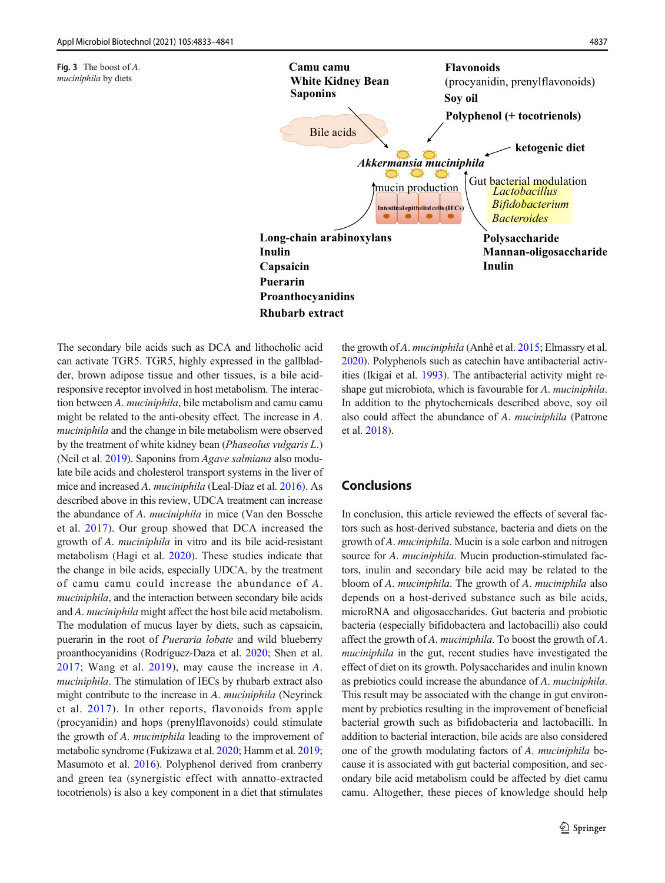<span id="page-4-0"></span>



The secondary bile acids such as DCA and lithocholic acid can activate TGR5. TGR5, highly expressed in the gallbladder, brown adipose tissue and other tissues, is a bile acidresponsive receptor involved in host metabolism. The interaction between A. muciniphila, bile metabolism and camu camu might be related to the anti-obesity effect. The increase in A. muciniphila and the change in bile metabolism were observed by the treatment of white kidney bean (Phaseolus vulgaris L.) (Neil et al. [2019\)](#page-7-0). Saponins from Agave salmiana also modulate bile acids and cholesterol transport systems in the liver of mice and increased A. muciniphila (Leal-Díaz et al. [2016](#page-6-0)). As described above in this review, UDCA treatment can increase the abundance of A. muciniphila in mice (Van den Bossche et al. [2017\)](#page-8-0). Our group showed that DCA increased the growth of A. muciniphila in vitro and its bile acid-resistant metabolism (Hagi et al. [2020](#page-6-0)). These studies indicate that the change in bile acids, especially UDCA, by the treatment of camu camu could increase the abundance of A. muciniphila, and the interaction between secondary bile acids and A. muciniphila might affect the host bile acid metabolism. The modulation of mucus layer by diets, such as capsaicin, puerarin in the root of Pueraria lobate and wild blueberry proanthocyanidins (Rodríguez-Daza et al. [2020;](#page-7-0) Shen et al. [2017;](#page-8-0) Wang et al. [2019](#page-8-0)), may cause the increase in A. muciniphila. The stimulation of IECs by rhubarb extract also might contribute to the increase in A. muciniphila (Neyrinck et al. [2017](#page-7-0)). In other reports, flavonoids from apple (procyanidin) and hops (prenylflavonoids) could stimulate the growth of A. muciniphila leading to the improvement of metabolic syndrome (Fukizawa et al. [2020;](#page-6-0) Hamm et al. [2019](#page-6-0); Masumoto et al. [2016\)](#page-7-0). Polyphenol derived from cranberry and green tea (synergistic effect with annatto-extracted tocotrienols) is also a key component in a diet that stimulates

the growth of A. muciniphila (Anhê et al. [2015;](#page-5-0) Elmassry et al. [2020\)](#page-6-0). Polyphenols such as catechin have antibacterial activities (Ikigai et al. [1993](#page-6-0)). The antibacterial activity might reshape gut microbiota, which is favourable for A. muciniphila. In addition to the phytochemicals described above, soy oil also could affect the abundance of A. muciniphila (Patrone et al. [2018](#page-7-0)).

# Conclusions

In conclusion, this article reviewed the effects of several factors such as host-derived substance, bacteria and diets on the growth of A. muciniphila. Mucin is a sole carbon and nitrogen source for A. *muciniphila*. Mucin production-stimulated factors, inulin and secondary bile acid may be related to the bloom of A. muciniphila. The growth of A. muciniphila also depends on a host-derived substance such as bile acids, microRNA and oligosaccharides. Gut bacteria and probiotic bacteria (especially bifidobactera and lactobacilli) also could affect the growth of A. muciniphila. To boost the growth of A. muciniphila in the gut, recent studies have investigated the effect of diet on its growth. Polysaccharides and inulin known as prebiotics could increase the abundance of A. muciniphila. This result may be associated with the change in gut environment by prebiotics resulting in the improvement of beneficial bacterial growth such as bifidobacteria and lactobacilli. In addition to bacterial interaction, bile acids are also considered one of the growth modulating factors of A. muciniphila because it is associated with gut bacterial composition, and secondary bile acid metabolism could be affected by diet camu camu. Altogether, these pieces of knowledge should help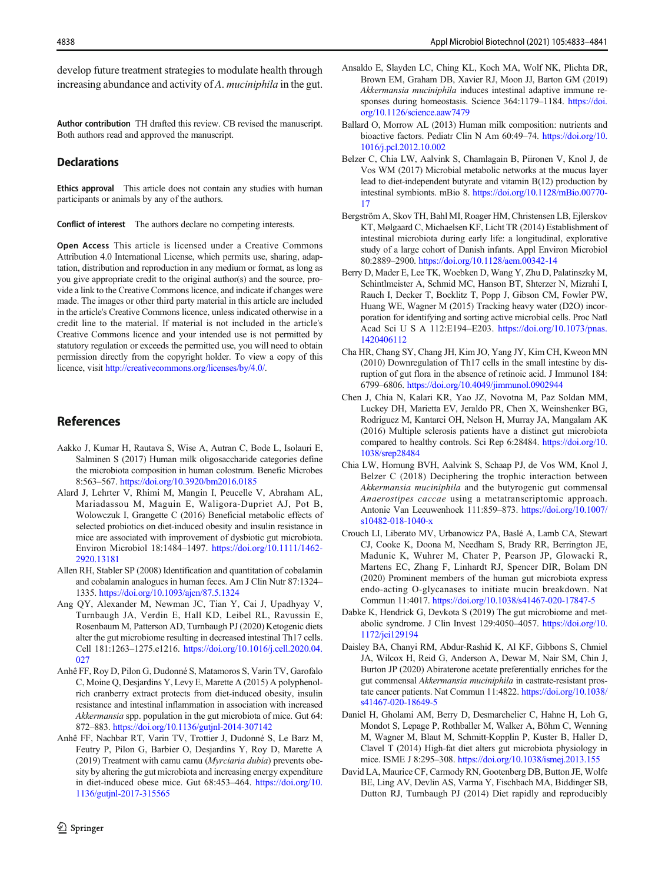<span id="page-5-0"></span>develop future treatment strategies to modulate health through increasing abundance and activity of A. muciniphila in the gut.

Author contribution TH drafted this review. CB revised the manuscript. Both authors read and approved the manuscript.

#### **Declarations**

Ethics approval This article does not contain any studies with human participants or animals by any of the authors.

Conflict of interest The authors declare no competing interests.

Open Access This article is licensed under a Creative Commons Attribution 4.0 International License, which permits use, sharing, adaptation, distribution and reproduction in any medium or format, as long as you give appropriate credit to the original author(s) and the source, provide a link to the Creative Commons licence, and indicate if changes were made. The images or other third party material in this article are included in the article's Creative Commons licence, unless indicated otherwise in a credit line to the material. If material is not included in the article's Creative Commons licence and your intended use is not permitted by statutory regulation or exceeds the permitted use, you will need to obtain permission directly from the copyright holder. To view a copy of this licence, visit <http://creativecommons.org/licenses/by/4.0/>.

### References

- Aakko J, Kumar H, Rautava S, Wise A, Autran C, Bode L, Isolauri E, Salminen S (2017) Human milk oligosaccharide categories define the microbiota composition in human colostrum. Benefic Microbes 8:563–567. <https://doi.org/10.3920/bm2016.0185>
- Alard J, Lehrter V, Rhimi M, Mangin I, Peucelle V, Abraham AL, Mariadassou M, Maguin E, Waligora-Dupriet AJ, Pot B, Wolowczuk I, Grangette C (2016) Beneficial metabolic effects of selected probiotics on diet-induced obesity and insulin resistance in mice are associated with improvement of dysbiotic gut microbiota. Environ Microbiol 18:1484–1497. [https://doi.org/10.1111/1462-](https://doi.org/10.1111/1462-2920.13181) [2920.13181](https://doi.org/10.1111/1462-2920.13181)
- Allen RH, Stabler SP (2008) Identification and quantitation of cobalamin and cobalamin analogues in human feces. Am J Clin Nutr 87:1324– 1335. <https://doi.org/10.1093/ajcn/87.5.1324>
- Ang QY, Alexander M, Newman JC, Tian Y, Cai J, Upadhyay V, Turnbaugh JA, Verdin E, Hall KD, Leibel RL, Ravussin E, Rosenbaum M, Patterson AD, Turnbaugh PJ (2020) Ketogenic diets alter the gut microbiome resulting in decreased intestinal Th17 cells. Cell 181:1263–1275.e1216. [https://doi.org/10.1016/j.cell.2020.04.](https://doi.org/10.1016/j.cell.2020.04.027)  $027$
- Anhê FF, Roy D, Pilon G, Dudonné S, Matamoros S, Varin TV, Garofalo C, Moine Q, Desjardins Y, Levy E, Marette A (2015) A polyphenolrich cranberry extract protects from diet-induced obesity, insulin resistance and intestinal inflammation in association with increased Akkermansia spp. population in the gut microbiota of mice. Gut 64: 872–883. <https://doi.org/10.1136/gutjnl-2014-307142>
- Anhê FF, Nachbar RT, Varin TV, Trottier J, Dudonné S, Le Barz M, Feutry P, Pilon G, Barbier O, Desjardins Y, Roy D, Marette A (2019) Treatment with camu camu (Myrciaria dubia) prevents obesity by altering the gut microbiota and increasing energy expenditure in diet-induced obese mice. Gut 68:453–464. [https://doi.org/10.](https://doi.org/10.1136/gutjnl-2017-315565) [1136/gutjnl-2017-315565](https://doi.org/10.1136/gutjnl-2017-315565)
- Ansaldo E, Slayden LC, Ching KL, Koch MA, Wolf NK, Plichta DR, Brown EM, Graham DB, Xavier RJ, Moon JJ, Barton GM (2019) Akkermansia muciniphila induces intestinal adaptive immune responses during homeostasis. Science 364:1179–1184. [https://doi.](https://doi.org/10.1126/science.aaw7479) [org/10.1126/science.aaw7479](https://doi.org/10.1126/science.aaw7479)
- Ballard O, Morrow AL (2013) Human milk composition: nutrients and bioactive factors. Pediatr Clin N Am 60:49–74. [https://doi.org/10.](https://doi.org/10.1016/j.pcl.2012.10.002) [1016/j.pcl.2012.10.002](https://doi.org/10.1016/j.pcl.2012.10.002)
- Belzer C, Chia LW, Aalvink S, Chamlagain B, Piironen V, Knol J, de Vos WM (2017) Microbial metabolic networks at the mucus layer lead to diet-independent butyrate and vitamin B(12) production by intestinal symbionts. mBio 8. [https://doi.org/10.1128/mBio.00770-](https://doi.org/10.1128/mBio.00770-17) [17](https://doi.org/10.1128/mBio.00770-17)
- Bergström A, Skov TH, Bahl MI, Roager HM, Christensen LB, Ejlerskov KT, Mølgaard C, Michaelsen KF, Licht TR (2014) Establishment of intestinal microbiota during early life: a longitudinal, explorative study of a large cohort of Danish infants. Appl Environ Microbiol 80:2889–2900. <https://doi.org/10.1128/aem.00342-14>
- Berry D, Mader E, Lee TK, Woebken D, Wang Y, Zhu D, Palatinszky M, Schintlmeister A, Schmid MC, Hanson BT, Shterzer N, Mizrahi I, Rauch I, Decker T, Bocklitz T, Popp J, Gibson CM, Fowler PW, Huang WE, Wagner M (2015) Tracking heavy water (D2O) incorporation for identifying and sorting active microbial cells. Proc Natl Acad Sci U S A 112:E194–E203. [https://doi.org/10.1073/pnas.](https://doi.org/10.1073/pnas.1420406112) [1420406112](https://doi.org/10.1073/pnas.1420406112)
- Cha HR, Chang SY, Chang JH, Kim JO, Yang JY, Kim CH, Kweon MN (2010) Downregulation of Th17 cells in the small intestine by disruption of gut flora in the absence of retinoic acid. J Immunol 184: 6799–6806. <https://doi.org/10.4049/jimmunol.0902944>
- Chen J, Chia N, Kalari KR, Yao JZ, Novotna M, Paz Soldan MM, Luckey DH, Marietta EV, Jeraldo PR, Chen X, Weinshenker BG, Rodriguez M, Kantarci OH, Nelson H, Murray JA, Mangalam AK (2016) Multiple sclerosis patients have a distinct gut microbiota compared to healthy controls. Sci Rep 6:28484. [https://doi.org/10.](https://doi.org/10.1038/srep28484) [1038/srep28484](https://doi.org/10.1038/srep28484)
- Chia LW, Hornung BVH, Aalvink S, Schaap PJ, de Vos WM, Knol J, Belzer C (2018) Deciphering the trophic interaction between Akkermansia muciniphila and the butyrogenic gut commensal Anaerostipes caccae using a metatranscriptomic approach. Antonie Van Leeuwenhoek 111:859–873. [https://doi.org/10.1007/](https://doi.org/10.1007/s10482-018-1040-x) [s10482-018-1040-x](https://doi.org/10.1007/s10482-018-1040-x)
- Crouch LI, Liberato MV, Urbanowicz PA, Baslé A, Lamb CA, Stewart CJ, Cooke K, Doona M, Needham S, Brady RR, Berrington JE, Madunic K, Wuhrer M, Chater P, Pearson JP, Glowacki R, Martens EC, Zhang F, Linhardt RJ, Spencer DIR, Bolam DN (2020) Prominent members of the human gut microbiota express endo-acting O-glycanases to initiate mucin breakdown. Nat Commun 11:4017. <https://doi.org/10.1038/s41467-020-17847-5>
- Dabke K, Hendrick G, Devkota S (2019) The gut microbiome and metabolic syndrome. J Clin Invest 129:4050–4057. [https://doi.org/10.](https://doi.org/10.1172/jci129194) [1172/jci129194](https://doi.org/10.1172/jci129194)
- Daisley BA, Chanyi RM, Abdur-Rashid K, Al KF, Gibbons S, Chmiel JA, Wilcox H, Reid G, Anderson A, Dewar M, Nair SM, Chin J, Burton JP (2020) Abiraterone acetate preferentially enriches for the gut commensal Akkermansia muciniphila in castrate-resistant prostate cancer patients. Nat Commun 11:4822. [https://doi.org/10.1038/](https://doi.org/10.1038/s41467-020-18649-5) [s41467-020-18649-5](https://doi.org/10.1038/s41467-020-18649-5)
- Daniel H, Gholami AM, Berry D, Desmarchelier C, Hahne H, Loh G, Mondot S, Lepage P, Rothballer M, Walker A, Böhm C, Wenning M, Wagner M, Blaut M, Schmitt-Kopplin P, Kuster B, Haller D, Clavel T (2014) High-fat diet alters gut microbiota physiology in mice. ISME J 8:295–308. <https://doi.org/10.1038/ismej.2013.155>
- David LA, Maurice CF, Carmody RN, Gootenberg DB, Button JE, Wolfe BE, Ling AV, Devlin AS, Varma Y, Fischbach MA, Biddinger SB, Dutton RJ, Turnbaugh PJ (2014) Diet rapidly and reproducibly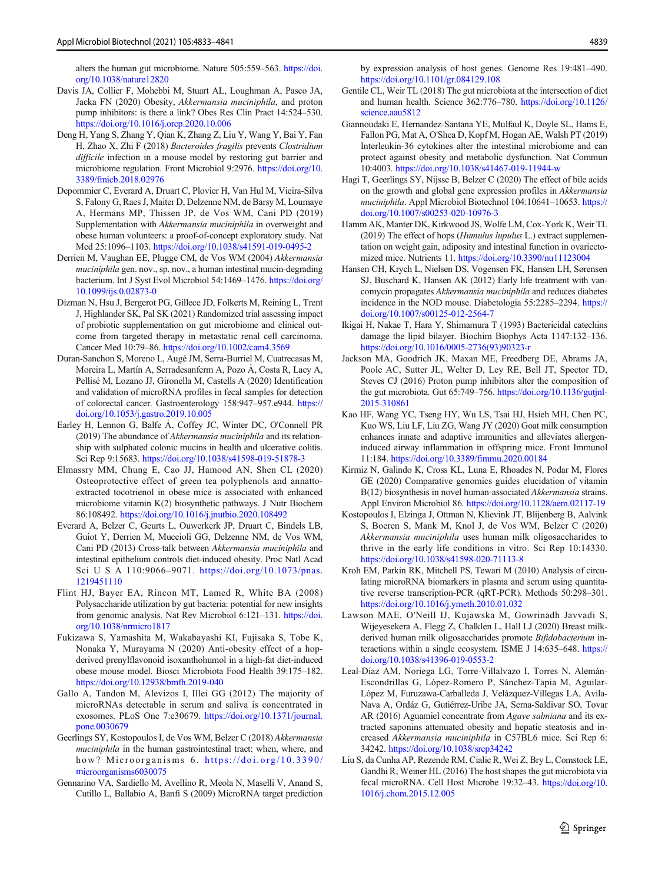<span id="page-6-0"></span>alters the human gut microbiome. Nature 505:559–563. [https://doi.](https://doi.org/10.1038/nature12820) [org/10.1038/nature12820](https://doi.org/10.1038/nature12820)

- Davis JA, Collier F, Mohebbi M, Stuart AL, Loughman A, Pasco JA, Jacka FN (2020) Obesity, Akkermansia muciniphila, and proton pump inhibitors: is there a link? Obes Res Clin Pract 14:524–530. <https://doi.org/10.1016/j.orcp.2020.10.006>
- Deng H, Yang S, Zhang Y, Qian K, Zhang Z, Liu Y, Wang Y, Bai Y, Fan H, Zhao X, Zhi F (2018) Bacteroides fragilis prevents Clostridium difficile infection in a mouse model by restoring gut barrier and microbiome regulation. Front Microbiol 9:2976. [https://doi.org/10.](https://doi.org/10.3389/fmicb.2018.02976) [3389/fmicb.2018.02976](https://doi.org/10.3389/fmicb.2018.02976)
- Depommier C, Everard A, Druart C, Plovier H, Van Hul M, Vieira-Silva S, Falony G, Raes J, Maiter D, Delzenne NM, de Barsy M, Loumaye A, Hermans MP, Thissen JP, de Vos WM, Cani PD (2019) Supplementation with Akkermansia muciniphila in overweight and obese human volunteers: a proof-of-concept exploratory study. Nat Med 25:1096–1103. <https://doi.org/10.1038/s41591-019-0495-2>
- Derrien M, Vaughan EE, Plugge CM, de Vos WM (2004) Akkermansia muciniphila gen. nov., sp. nov., a human intestinal mucin-degrading bacterium. Int J Syst Evol Microbiol 54:1469–1476. [https://doi.org/](https://doi.org/10.1099/ijs.0.02873-0) [10.1099/ijs.0.02873-0](https://doi.org/10.1099/ijs.0.02873-0)
- Dizman N, Hsu J, Bergerot PG, Gillece JD, Folkerts M, Reining L, Trent J, Highlander SK, Pal SK (2021) Randomized trial assessing impact of probiotic supplementation on gut microbiome and clinical outcome from targeted therapy in metastatic renal cell carcinoma. Cancer Med 10:79–86. <https://doi.org/10.1002/cam4.3569>
- Duran-Sanchon S, Moreno L, Augé JM, Serra-Burriel M, Cuatrecasas M, Moreira L, Martín A, Serradesanferm A, Pozo À, Costa R, Lacy A, Pellisé M, Lozano JJ, Gironella M, Castells A (2020) Identification and validation of microRNA profiles in fecal samples for detection of colorectal cancer. Gastroenterology 158:947–957.e944. [https://](https://doi.org/10.1053/j.gastro.2019.10.005) [doi.org/10.1053/j.gastro.2019.10.005](https://doi.org/10.1053/j.gastro.2019.10.005)
- Earley H, Lennon G, Balfe Á, Coffey JC, Winter DC, O'Connell PR (2019) The abundance of Akkermansia muciniphila and its relationship with sulphated colonic mucins in health and ulcerative colitis. Sci Rep 9:15683. <https://doi.org/10.1038/s41598-019-51878-3>
- Elmassry MM, Chung E, Cao JJ, Hamood AN, Shen CL (2020) Osteoprotective effect of green tea polyphenols and annattoextracted tocotrienol in obese mice is associated with enhanced microbiome vitamin K(2) biosynthetic pathways. J Nutr Biochem 86:108492. <https://doi.org/10.1016/j.jnutbio.2020.108492>
- Everard A, Belzer C, Geurts L, Ouwerkerk JP, Druart C, Bindels LB, Guiot Y, Derrien M, Muccioli GG, Delzenne NM, de Vos WM, Cani PD (2013) Cross-talk between Akkermansia muciniphila and intestinal epithelium controls diet-induced obesity. Proc Natl Acad Sci U S A 110:9066–9071. [https://doi.org/10.1073/pnas.](https://doi.org/10.1073/pnas.1219451110) [1219451110](https://doi.org/10.1073/pnas.1219451110)
- Flint HJ, Bayer EA, Rincon MT, Lamed R, White BA (2008) Polysaccharide utilization by gut bacteria: potential for new insights from genomic analysis. Nat Rev Microbiol 6:121–131. [https://doi.](https://doi.org/10.1038/nrmicro1817) [org/10.1038/nrmicro1817](https://doi.org/10.1038/nrmicro1817)
- Fukizawa S, Yamashita M, Wakabayashi KI, Fujisaka S, Tobe K, Nonaka Y, Murayama N (2020) Anti-obesity effect of a hopderived prenylflavonoid isoxanthohumol in a high-fat diet-induced obese mouse model. Biosci Microbiota Food Health 39:175–182. <https://doi.org/10.12938/bmfh.2019-040>
- Gallo A, Tandon M, Alevizos I, Illei GG (2012) The majority of microRNAs detectable in serum and saliva is concentrated in exosomes. PLoS One 7:e30679. [https://doi.org/10.1371/journal.](https://doi.org/10.1371/journal.pone.0030679) [pone.0030679](https://doi.org/10.1371/journal.pone.0030679)
- Geerlings SY, Kostopoulos I, de Vos WM, Belzer C (2018) Akkermansia muciniphila in the human gastrointestinal tract: when, where, and how? Microorganisms 6. [https://doi.org/10.3390/](https://doi.org/10.3390/microorganisms6030075) [microorganisms6030075](https://doi.org/10.3390/microorganisms6030075)
- Gennarino VA, Sardiello M, Avellino R, Meola N, Maselli V, Anand S, Cutillo L, Ballabio A, Banfi S (2009) MicroRNA target prediction

by expression analysis of host genes. Genome Res 19:481–490. <https://doi.org/10.1101/gr.084129.108>

- Gentile CL, Weir TL (2018) The gut microbiota at the intersection of diet and human health. Science 362:776–780. [https://doi.org/10.1126/](https://doi.org/10.1126/science.aau5812) [science.aau5812](https://doi.org/10.1126/science.aau5812)
- Giannoudaki E, Hernandez-Santana YE, Mulfaul K, Doyle SL, Hams E, Fallon PG, Mat A, O'Shea D, Kopf M, Hogan AE, Walsh PT (2019) Interleukin-36 cytokines alter the intestinal microbiome and can protect against obesity and metabolic dysfunction. Nat Commun 10:4003. <https://doi.org/10.1038/s41467-019-11944-w>
- Hagi T, Geerlings SY, Nijsse B, Belzer C (2020) The effect of bile acids on the growth and global gene expression profiles in Akkermansia muciniphila. Appl Microbiol Biotechnol 104:10641–10653. [https://](https://doi.org/10.1007/s00253-020-10976-3) [doi.org/10.1007/s00253-020-10976-3](https://doi.org/10.1007/s00253-020-10976-3)
- Hamm AK, Manter DK, Kirkwood JS, Wolfe LM, Cox-York K, Weir TL (2019) The effect of hops (Humulus lupulus L.) extract supplementation on weight gain, adiposity and intestinal function in ovariectomized mice. Nutrients 11. <https://doi.org/10.3390/nu11123004>
- Hansen CH, Krych L, Nielsen DS, Vogensen FK, Hansen LH, Sørensen SJ, Buschard K, Hansen AK (2012) Early life treatment with vancomycin propagates Akkermansia muciniphila and reduces diabetes incidence in the NOD mouse. Diabetologia 55:2285–2294. [https://](https://doi.org/10.1007/s00125-012-2564-7) [doi.org/10.1007/s00125-012-2564-7](https://doi.org/10.1007/s00125-012-2564-7)
- Ikigai H, Nakae T, Hara Y, Shimamura T (1993) Bactericidal catechins damage the lipid bilayer. Biochim Biophys Acta 1147:132–136. [https://doi.org/10.1016/0005-2736\(93\)90323-r](https://doi.org/10.1016/0005-2736(93)90323-r)
- Jackson MA, Goodrich JK, Maxan ME, Freedberg DE, Abrams JA, Poole AC, Sutter JL, Welter D, Ley RE, Bell JT, Spector TD, Steves CJ (2016) Proton pump inhibitors alter the composition of the gut microbiota. Gut 65:749–756. [https://doi.org/10.1136/gutjnl-](https://doi.org/10.1136/gutjnl-2015-310861)[2015-310861](https://doi.org/10.1136/gutjnl-2015-310861)
- Kao HF, Wang YC, Tseng HY, Wu LS, Tsai HJ, Hsieh MH, Chen PC, Kuo WS, Liu LF, Liu ZG, Wang JY (2020) Goat milk consumption enhances innate and adaptive immunities and alleviates allergeninduced airway inflammation in offspring mice. Front Immunol 11:184. <https://doi.org/10.3389/fimmu.2020.00184>
- Kirmiz N, Galindo K, Cross KL, Luna E, Rhoades N, Podar M, Flores GE (2020) Comparative genomics guides elucidation of vitamin B(12) biosynthesis in novel human-associated Akkermansia strains. Appl Environ Microbiol 86. <https://doi.org/10.1128/aem.02117-19>
- Kostopoulos I, Elzinga J, Ottman N, Klievink JT, Blijenberg B, Aalvink S, Boeren S, Mank M, Knol J, de Vos WM, Belzer C (2020) Akkermansia muciniphila uses human milk oligosaccharides to thrive in the early life conditions in vitro. Sci Rep 10:14330. <https://doi.org/10.1038/s41598-020-71113-8>
- Kroh EM, Parkin RK, Mitchell PS, Tewari M (2010) Analysis of circulating microRNA biomarkers in plasma and serum using quantitative reverse transcription-PCR (qRT-PCR). Methods 50:298–301. <https://doi.org/10.1016/j.ymeth.2010.01.032>
- Lawson MAE, O'Neill IJ, Kujawska M, Gowrinadh Javvadi S, Wijeyesekera A, Flegg Z, Chalklen L, Hall LJ (2020) Breast milkderived human milk oligosaccharides promote Bifidobacterium interactions within a single ecosystem. ISME J 14:635–648. [https://](https://doi.org/10.1038/s41396-019-0553-2) [doi.org/10.1038/s41396-019-0553-2](https://doi.org/10.1038/s41396-019-0553-2)
- Leal-Díaz AM, Noriega LG, Torre-Villalvazo I, Torres N, Alemán-Escondrillas G, López-Romero P, Sánchez-Tapia M, Aguilar-López M, Furuzawa-Carballeda J, Velázquez-Villegas LA, Avila-Nava A, Ordáz G, Gutiérrez-Uribe JA, Serna-Saldivar SO, Tovar AR (2016) Aguamiel concentrate from Agave salmiana and its extracted saponins attenuated obesity and hepatic steatosis and increased Akkermansia muciniphila in C57BL6 mice. Sci Rep 6: 34242. <https://doi.org/10.1038/srep34242>
- Liu S, da Cunha AP, Rezende RM, Cialic R, Wei Z, Bry L, Comstock LE, Gandhi R, Weiner HL (2016) The host shapes the gut microbiota via fecal microRNA. Cell Host Microbe 19:32–43. [https://doi.org/10.](https://doi.org/10.1016/j.chom.2015.12.005) [1016/j.chom.2015.12.005](https://doi.org/10.1016/j.chom.2015.12.005)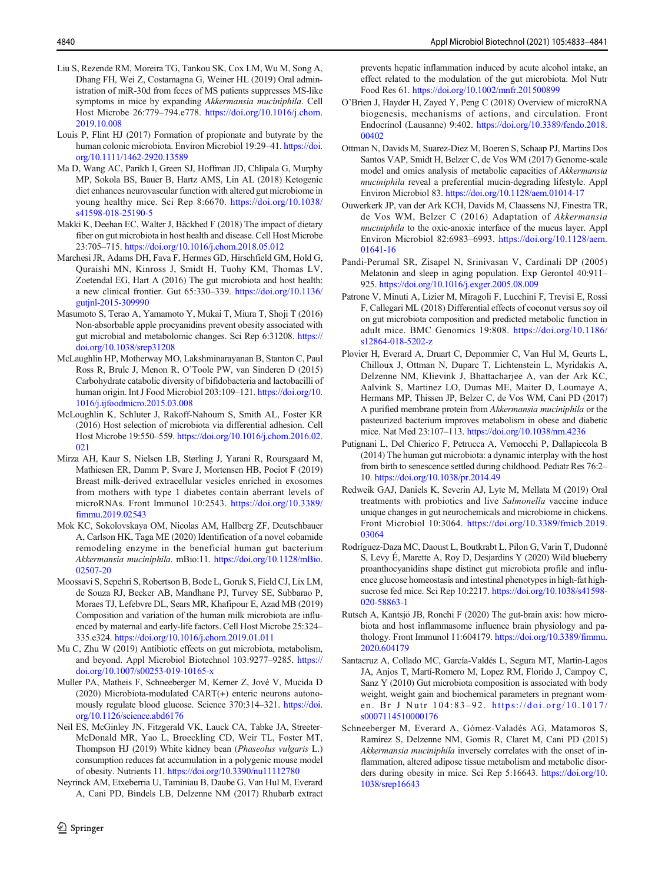- <span id="page-7-0"></span>Liu S, Rezende RM, Moreira TG, Tankou SK, Cox LM, Wu M, Song A, Dhang FH, Wei Z, Costamagna G, Weiner HL (2019) Oral administration of miR-30d from feces of MS patients suppresses MS-like symptoms in mice by expanding Akkermansia muciniphila. Cell Host Microbe 26:779–794.e778. [https://doi.org/10.1016/j.chom.](https://doi.org/10.1016/j.chom.2019.10.008) [2019.10.008](https://doi.org/10.1016/j.chom.2019.10.008)
- Louis P, Flint HJ (2017) Formation of propionate and butyrate by the human colonic microbiota. Environ Microbiol 19:29–41. [https://doi.](https://doi.org/10.1111/146213589) [org/10.1111/1462-2920.13589](https://doi.org/10.1111/146213589)
- Ma D, Wang AC, Parikh I, Green SJ, Hoffman JD, Chlipala G, Murphy MP, Sokola BS, Bauer B, Hartz AMS, Lin AL (2018) Ketogenic diet enhances neurovascular function with altered gut microbiome in young healthy mice. Sci Rep 8:6670. [https://doi.org/10.1038/](https://doi.org/10.1038/s41598-018-25190-5) [s41598-018-25190-5](https://doi.org/10.1038/s41598-018-25190-5)
- Makki K, Deehan EC, Walter J, Bäckhed F (2018) The impact of dietary fiber on gut microbiota in host health and disease. Cell Host Microbe 23:705–715. <https://doi.org/10.1016/j.chom.2018.05.012>
- Marchesi JR, Adams DH, Fava F, Hermes GD, Hirschfield GM, Hold G, Quraishi MN, Kinross J, Smidt H, Tuohy KM, Thomas LV, Zoetendal EG, Hart A (2016) The gut microbiota and host health: a new clinical frontier. Gut 65:330–339. [https://doi.org/10.1136/](https://doi.org/10.1136/gutjnl-2015-309990) [gutjnl-2015-309990](https://doi.org/10.1136/gutjnl-2015-309990)
- Masumoto S, Terao A, Yamamoto Y, Mukai T, Miura T, Shoji T (2016) Non-absorbable apple procyanidins prevent obesity associated with gut microbial and metabolomic changes. Sci Rep 6:31208. [https://](https://doi.org/10.1038/srep31208) [doi.org/10.1038/srep31208](https://doi.org/10.1038/srep31208)
- McLaughlin HP, Motherway MO, Lakshminarayanan B, Stanton C, Paul Ross R, Brulc J, Menon R, O'Toole PW, van Sinderen D (2015) Carbohydrate catabolic diversity of bifidobacteria and lactobacilli of human origin. Int J Food Microbiol 203:109–121. [https://doi.org/10.](https://doi.org/10.1016/j.ijfoodmicro.2015.03.008) [1016/j.ijfoodmicro.2015.03.008](https://doi.org/10.1016/j.ijfoodmicro.2015.03.008)
- McLoughlin K, Schluter J, Rakoff-Nahoum S, Smith AL, Foster KR (2016) Host selection of microbiota via differential adhesion. Cell Host Microbe 19:550–559. [https://doi.org/10.1016/j.chom.2016.02.](https://doi.org/10.1016/j.chom.2016.02.021) [021](https://doi.org/10.1016/j.chom.2016.02.021)
- Mirza AH, Kaur S, Nielsen LB, Størling J, Yarani R, Roursgaard M, Mathiesen ER, Damm P, Svare J, Mortensen HB, Pociot F (2019) Breast milk-derived extracellular vesicles enriched in exosomes from mothers with type 1 diabetes contain aberrant levels of microRNAs. Front Immunol 10:2543. [https://doi.org/10.3389/](https://doi.org/10.3389/fimmu.2019.02543) [fimmu.2019.02543](https://doi.org/10.3389/fimmu.2019.02543)
- Mok KC, Sokolovskaya OM, Nicolas AM, Hallberg ZF, Deutschbauer A, Carlson HK, Taga ME (2020) Identification of a novel cobamide remodeling enzyme in the beneficial human gut bacterium Akkermansia muciniphila. mBio:11. [https://doi.org/10.1128/mBio.](https://doi.org/10.1128/mBio.02507-20) [02507-20](https://doi.org/10.1128/mBio.02507-20)
- Moossavi S, Sepehri S, Robertson B, Bode L, Goruk S, Field CJ, Lix LM, de Souza RJ, Becker AB, Mandhane PJ, Turvey SE, Subbarao P, Moraes TJ, Lefebvre DL, Sears MR, Khafipour E, Azad MB (2019) Composition and variation of the human milk microbiota are influenced by maternal and early-life factors. Cell Host Microbe 25:324– 335.e324. <https://doi.org/10.1016/j.chom.2019.01.011>
- Mu C, Zhu W (2019) Antibiotic effects on gut microbiota, metabolism, and beyond. Appl Microbiol Biotechnol 103:9277–9285. [https://](https://doi.org/10.1007/s00253-019-10165-x) [doi.org/10.1007/s00253-019-10165-x](https://doi.org/10.1007/s00253-019-10165-x)
- Muller PA, Matheis F, Schneeberger M, Kerner Z, Jové V, Mucida D (2020) Microbiota-modulated CART(+) enteric neurons autonomously regulate blood glucose. Science 370:314–321. [https://doi.](https://doi.org/10.1126/science.abd6176) [org/10.1126/science.abd6176](https://doi.org/10.1126/science.abd6176)
- Neil ES, McGinley JN, Fitzgerald VK, Lauck CA, Tabke JA, Streeter-McDonald MR, Yao L, Broeckling CD, Weir TL, Foster MT, Thompson HJ (2019) White kidney bean (Phaseolus vulgaris L.) consumption reduces fat accumulation in a polygenic mouse model of obesity. Nutrients 11. <https://doi.org/10.3390/nu11112780>
- Neyrinck AM, Etxeberria U, Taminiau B, Daube G, Van Hul M, Everard A, Cani PD, Bindels LB, Delzenne NM (2017) Rhubarb extract

prevents hepatic inflammation induced by acute alcohol intake, an effect related to the modulation of the gut microbiota. Mol Nutr Food Res 61. <https://doi.org/10.1002/mnfr.201500899>

- O'Brien J, Hayder H, Zayed Y, Peng C (2018) Overview of microRNA biogenesis, mechanisms of actions, and circulation. Front Endocrinol (Lausanne) 9:402. [https://doi.org/10.3389/fendo.2018.](https://doi.org/10.3389/fendo.2018.00402) [00402](https://doi.org/10.3389/fendo.2018.00402)
- Ottman N, Davids M, Suarez-Diez M, Boeren S, Schaap PJ, Martins Dos Santos VAP, Smidt H, Belzer C, de Vos WM (2017) Genome-scale model and omics analysis of metabolic capacities of Akkermansia muciniphila reveal a preferential mucin-degrading lifestyle. Appl Environ Microbiol 83. <https://doi.org/10.1128/aem.01014-17>
- Ouwerkerk JP, van der Ark KCH, Davids M, Claassens NJ, Finestra TR, de Vos WM, Belzer C (2016) Adaptation of Akkermansia muciniphila to the oxic-anoxic interface of the mucus layer. Appl Environ Microbiol 82:6983–6993. [https://doi.org/10.1128/aem.](https://doi.org/10.1128/aem.01641-16) [01641-16](https://doi.org/10.1128/aem.01641-16)
- Pandi-Perumal SR, Zisapel N, Srinivasan V, Cardinali DP (2005) Melatonin and sleep in aging population. Exp Gerontol 40:911– 925. <https://doi.org/10.1016/j.exger.2005.08.009>
- Patrone V, Minuti A, Lizier M, Miragoli F, Lucchini F, Trevisi E, Rossi F, Callegari ML (2018) Differential effects of coconut versus soy oil on gut microbiota composition and predicted metabolic function in adult mice. BMC Genomics 19:808. [https://doi.org/10.1186/](https://doi.org/10.1186/s12864-018-5202-z) [s12864-018-5202-z](https://doi.org/10.1186/s12864-018-5202-z)
- Plovier H, Everard A, Druart C, Depommier C, Van Hul M, Geurts L, Chilloux J, Ottman N, Duparc T, Lichtenstein L, Myridakis A, Delzenne NM, Klievink J, Bhattacharjee A, van der Ark KC, Aalvink S, Martinez LO, Dumas ME, Maiter D, Loumaye A, Hermans MP, Thissen JP, Belzer C, de Vos WM, Cani PD (2017) A purified membrane protein from Akkermansia muciniphila or the pasteurized bacterium improves metabolism in obese and diabetic mice. Nat Med 23:107–113. <https://doi.org/10.1038/nm.4236>
- Putignani L, Del Chierico F, Petrucca A, Vernocchi P, Dallapiccola B (2014) The human gut microbiota: a dynamic interplay with the host from birth to senescence settled during childhood. Pediatr Res 76:2– 10. <https://doi.org/10.1038/pr.2014.49>
- Redweik GAJ, Daniels K, Severin AJ, Lyte M, Mellata M (2019) Oral treatments with probiotics and live Salmonella vaccine induce unique changes in gut neurochemicals and microbiome in chickens. Front Microbiol 10:3064. [https://doi.org/10.3389/fmicb.2019.](https://doi.org/10.3389/fmicb.2019.03064) [03064](https://doi.org/10.3389/fmicb.2019.03064)
- Rodríguez-Daza MC, Daoust L, Boutkrabt L, Pilon G, Varin T, Dudonné S, Levy É, Marette A, Roy D, Desjardins Y (2020) Wild blueberry proanthocyanidins shape distinct gut microbiota profile and influence glucose homeostasis and intestinal phenotypes in high-fat highsucrose fed mice. Sci Rep 10:2217. [https://doi.org/10.1038/s41598-](https://doi.org/10.1038/s41598-020-58863-1) [020-58863-1](https://doi.org/10.1038/s41598-020-58863-1)
- Rutsch A, Kantsjö JB, Ronchi F (2020) The gut-brain axis: how microbiota and host inflammasome influence brain physiology and pathology. Front Immunol 11:604179. [https://doi.org/10.3389/fimmu.](https://doi.org/10.3389/fimmu.2020.604179) [2020.604179](https://doi.org/10.3389/fimmu.2020.604179)
- Santacruz A, Collado MC, García-Valdés L, Segura MT, Martín-Lagos JA, Anjos T, Martí-Romero M, Lopez RM, Florido J, Campoy C, Sanz Y (2010) Gut microbiota composition is associated with body weight, weight gain and biochemical parameters in pregnant women. Br J Nutr 104:83–92. [https://doi.org/10.1017/](https://doi.org/10.1017/s0007114510000176) [s0007114510000176](https://doi.org/10.1017/s0007114510000176)
- Schneeberger M, Everard A, Gómez-Valadés AG, Matamoros S, Ramírez S, Delzenne NM, Gomis R, Claret M, Cani PD (2015) Akkermansia muciniphila inversely correlates with the onset of inflammation, altered adipose tissue metabolism and metabolic disorders during obesity in mice. Sci Rep 5:16643. [https://doi.org/10.](https://doi.org/10.1038/srep16643) [1038/srep16643](https://doi.org/10.1038/srep16643)